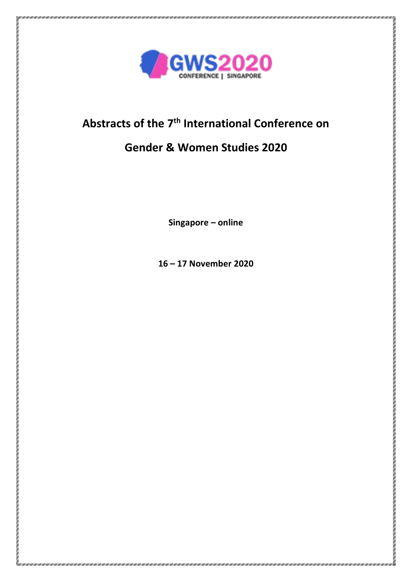

# **Abstracts of the 7 th International Conference on**

# **Gender & Women Studies 2020**

**Singapore – online**

**16 – 17 November 2020**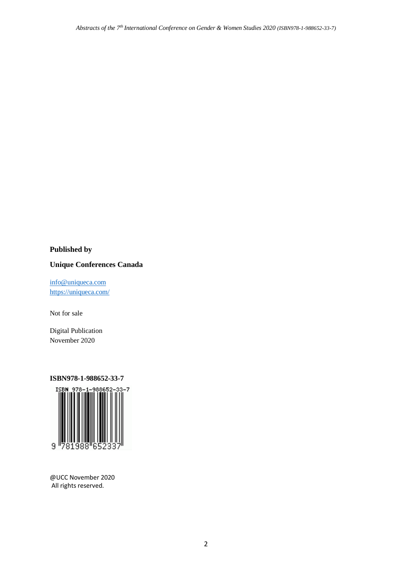## **Published by**

## **Unique Conferences Canada**

[info@uniqueca.com](mailto:info@uniqueca.com) <https://uniqueca.com/>

Not for sale

Digital Publication November 2020

**ISBN978-1-988652-33-7**



@UCC November 2020 All rights reserved.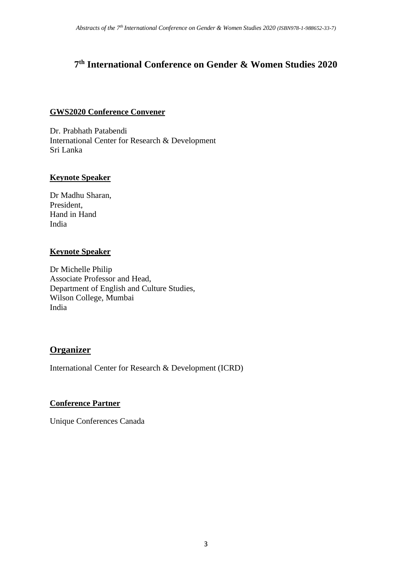## **7 th International Conference on Gender & Women Studies 2020**

## **GWS2020 Conference Convener**

Dr. Prabhath Patabendi International Center for Research & Development Sri Lanka

## **Keynote Speaker**

Dr Madhu Sharan, President, Hand in Hand India

## **Keynote Speaker**

Dr Michelle Philip Associate Professor and Head, Department of English and Culture Studies, Wilson College, Mumbai India

## **Organizer**

International Center for Research & Development (ICRD)

## **Conference Partner**

Unique Conferences Canada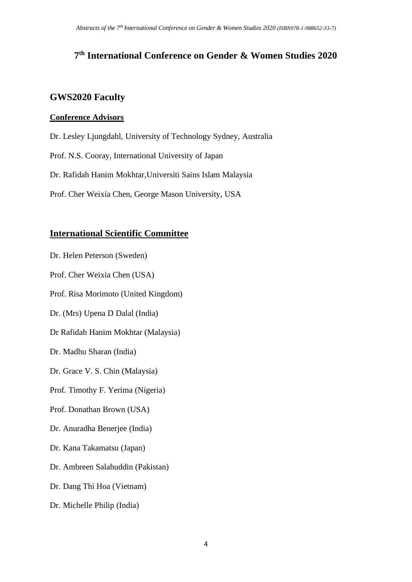## **7 th International Conference on Gender & Women Studies 2020**

## **GWS2020 Faculty**

## **Conference Advisors**

Dr. Lesley Ljungdahl, University of Technology Sydney, Australia Prof. N.S. Cooray, International University of Japan Dr. Rafidah Hanim Mokhtar,Universiti Sains Islam Malaysia Prof. Cher Weixia Chen, George Mason University, USA

## **International Scientific Committee**

Dr. Helen Peterson (Sweden) Prof. Cher Weixia Chen (USA) Prof. Risa Morimoto (United Kingdom) Dr. (Mrs) Upena D Dalal (India) Dr Rafidah Hanim Mokhtar (Malaysia) Dr. Madhu Sharan (India) Dr. Grace V. S. Chin (Malaysia) Prof. Timothy F. Yerima (Nigeria) Prof. Donathan Brown (USA) Dr. Anuradha Benerjee (India) Dr. Kana Takamatsu (Japan) Dr. Ambreen Salahuddin (Pakistan) Dr. Dang Thi Hoa (Vietnam) Dr. Michelle Philip (India)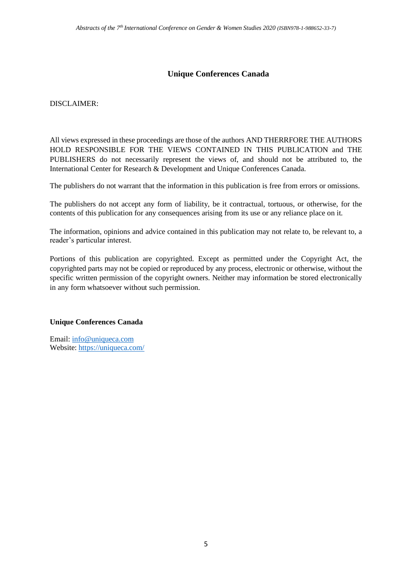## **Unique Conferences Canada**

### DISCLAIMER·

All views expressed in these proceedings are those of the authors AND THERRFORE THE AUTHORS HOLD RESPONSIBLE FOR THE VIEWS CONTAINED IN THIS PUBLICATION and THE PUBLISHERS do not necessarily represent the views of, and should not be attributed to, the International Center for Research & Development and Unique Conferences Canada.

The publishers do not warrant that the information in this publication is free from errors or omissions.

The publishers do not accept any form of liability, be it contractual, tortuous, or otherwise, for the contents of this publication for any consequences arising from its use or any reliance place on it.

The information, opinions and advice contained in this publication may not relate to, be relevant to, a reader's particular interest.

Portions of this publication are copyrighted. Except as permitted under the Copyright Act, the copyrighted parts may not be copied or reproduced by any process, electronic or otherwise, without the specific written permission of the copyright owners. Neither may information be stored electronically in any form whatsoever without such permission.

#### **Unique Conferences Canada**

Email: [info@uniqueca.com](mailto:info@uniqueca.com) Website: <https://uniqueca.com/>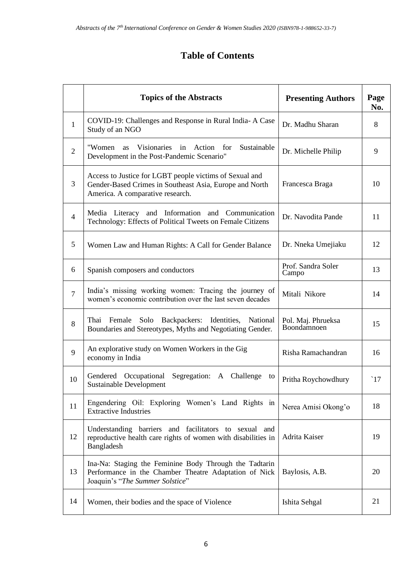## **Table of Contents**

|                | <b>Topics of the Abstracts</b>                                                                                                                         | <b>Presenting Authors</b>         | Page<br>No.        |
|----------------|--------------------------------------------------------------------------------------------------------------------------------------------------------|-----------------------------------|--------------------|
| $\mathbf{1}$   | COVID-19: Challenges and Response in Rural India- A Case<br>Study of an NGO                                                                            | Dr. Madhu Sharan                  | 8                  |
| $\overline{2}$ | "Women as Visionaries in Action for<br>Sustainable<br>Development in the Post-Pandemic Scenario"                                                       | Dr. Michelle Philip               | 9                  |
| 3              | Access to Justice for LGBT people victims of Sexual and<br>Gender-Based Crimes in Southeast Asia, Europe and North<br>America. A comparative research. | Francesca Braga                   | 10                 |
| $\overline{4}$ | Media Literacy and Information and Communication<br>Technology: Effects of Political Tweets on Female Citizens                                         | Dr. Navodita Pande                | 11                 |
| 5              | Women Law and Human Rights: A Call for Gender Balance                                                                                                  | Dr. Nneka Umejiaku                | 12                 |
| 6              | Spanish composers and conductors                                                                                                                       | Prof. Sandra Soler<br>Campo       | 13                 |
| $\overline{7}$ | India's missing working women: Tracing the journey of<br>women's economic contribution over the last seven decades                                     | Mitali Nikore                     | 14                 |
| 8              | Thai Female Solo Backpackers: Identities, National<br>Boundaries and Stereotypes, Myths and Negotiating Gender.                                        | Pol. Maj. Phrueksa<br>Boondamnoen | 15                 |
| 9              | An explorative study on Women Workers in the Gig<br>economy in India                                                                                   | Risha Ramachandran                | 16                 |
| 10             | Gendered Occupational<br>Segregation: A<br>Challenge<br>to<br>Sustainable Development                                                                  | Pritha Roychowdhury               | $\lceil 17 \rceil$ |
| 11             | Engendering Oil: Exploring Women's Land Rights in<br><b>Extractive Industries</b>                                                                      | Nerea Amisi Okong'o               | 18                 |
| 12             | Understanding barriers and facilitators to sexual and<br>reproductive health care rights of women with disabilities in<br>Bangladesh                   | Adrita Kaiser                     | 19                 |
| 13             | Ina-Na: Staging the Feminine Body Through the Tadtarin<br>Performance in the Chamber Theatre Adaptation of Nick<br>Joaquin's "The Summer Solstice"     | Baylosis, A.B.                    | 20                 |
| 14             | Women, their bodies and the space of Violence                                                                                                          | Ishita Sehgal                     | 21                 |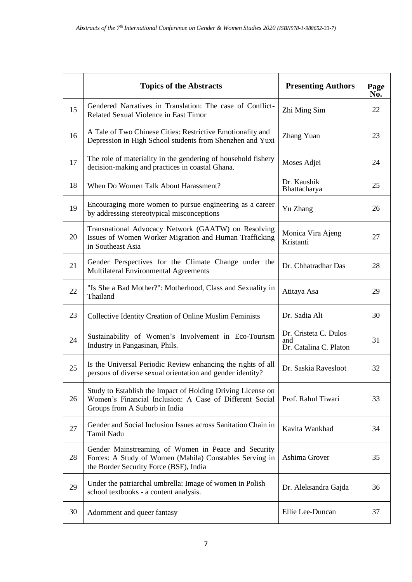|    | <b>Topics of the Abstracts</b>                                                                                                                           | <b>Presenting Authors</b>                              | Page<br>No. |
|----|----------------------------------------------------------------------------------------------------------------------------------------------------------|--------------------------------------------------------|-------------|
| 15 | Gendered Narratives in Translation: The case of Conflict-<br>Related Sexual Violence in East Timor                                                       | Zhi Ming Sim                                           | 22          |
| 16 | A Tale of Two Chinese Cities: Restrictive Emotionality and<br>Depression in High School students from Shenzhen and Yuxi                                  | Zhang Yuan                                             | 23          |
| 17 | The role of materiality in the gendering of household fishery<br>decision-making and practices in coastal Ghana.                                         | Moses Adjei                                            | 24          |
| 18 | When Do Women Talk About Harassment?                                                                                                                     | Dr. Kaushik<br>Bhattacharya                            | 25          |
| 19 | Encouraging more women to pursue engineering as a career<br>by addressing stereotypical misconceptions                                                   | Yu Zhang                                               | 26          |
| 20 | Transnational Advocacy Network (GAATW) on Resolving<br>Issues of Women Worker Migration and Human Trafficking<br>in Southeast Asia                       | Monica Vira Ajeng<br>Kristanti                         | 27          |
| 21 | Gender Perspectives for the Climate Change under the<br>Multilateral Environmental Agreements                                                            | Dr. Chhatradhar Das                                    | 28          |
| 22 | "Is She a Bad Mother?": Motherhood, Class and Sexuality in<br>Thailand                                                                                   | Atitaya Asa                                            | 29          |
| 23 | Collective Identity Creation of Online Muslim Feminists                                                                                                  | Dr. Sadia Ali                                          | 30          |
| 24 | Sustainability of Women's Involvement in Eco-Tourism<br>Industry in Pangasinan, Phils.                                                                   | Dr. Cristeta C. Dulos<br>and<br>Dr. Catalina C. Platon | 31          |
| 25 | Is the Universal Periodic Review enhancing the rights of all<br>persons of diverse sexual orientation and gender identity?                               | Dr. Saskia Ravesloot                                   | 32          |
| 26 | Study to Establish the Impact of Holding Driving License on<br>Women's Financial Inclusion: A Case of Different Social<br>Groups from A Suburb in India  | Prof. Rahul Tiwari                                     | 33          |
| 27 | Gender and Social Inclusion Issues across Sanitation Chain in<br>Tamil Nadu                                                                              | Kavita Wankhad                                         | 34          |
| 28 | Gender Mainstreaming of Women in Peace and Security<br>Forces: A Study of Women (Mahila) Constables Serving in<br>the Border Security Force (BSF), India | Ashima Grover                                          | 35          |
| 29 | Under the patriarchal umbrella: Image of women in Polish<br>school textbooks - a content analysis.                                                       | Dr. Aleksandra Gajda                                   | 36          |
| 30 | Adornment and queer fantasy                                                                                                                              | Ellie Lee-Duncan                                       | 37          |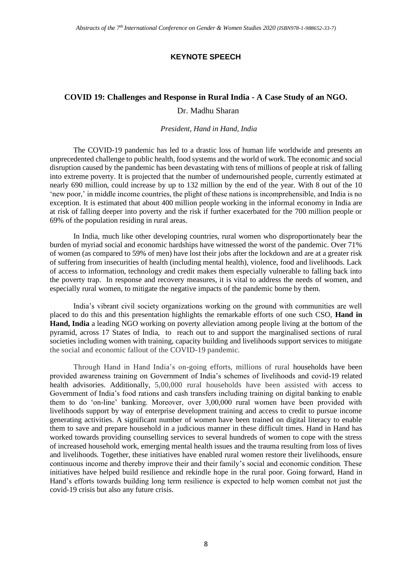## **KEYNOTE SPEECH**

#### **COVID 19: Challenges and Response in Rural India - A Case Study of an NGO.**

#### Dr. Madhu Sharan

#### *President, Hand in Hand, India*

The COVID-19 pandemic has led to a drastic loss of human life worldwide and presents an unprecedented challenge to public health, food systems and the world of work. The economic and social disruption caused by the pandemic has been devastating with tens of millions of people at risk of falling into extreme poverty. It is projected that the number of undernourished people, currently estimated at nearly 690 million, could increase by up to 132 million by the end of the year. With 8 out of the 10 'new poor,' in middle income countries, the plight of these nations is incomprehensible, and India is no exception. It is estimated that about 400 million people working in the informal economy in India are at risk of falling deeper into poverty and the risk if further exacerbated for the 700 million people or 69% of the population residing in rural areas.

In India, much like other developing countries, rural women who disproportionately bear the burden of myriad social and economic hardships have witnessed the worst of the pandemic. Over 71% of women (as compared to 59% of men) have lost their jobs after the lockdown and are at a greater risk of suffering from insecurities of health (including mental health), violence, food and livelihoods. Lack of access to information, technology and credit makes them especially vulnerable to falling back into the poverty trap. In response and recovery measures, it is vital to address the needs of women, and especially rural women, to mitigate the negative impacts of the pandemic borne by them.

India's vibrant civil society organizations working on the ground with communities are well placed to do this and this presentation highlights the remarkable efforts of one such CSO, **Hand in Hand, India** a leading NGO working on poverty alleviation among people living at the bottom of the pyramid, across 17 States of India, to reach out to and support the marginalised sections of rural societies including women with training, capacity building and livelihoods support services to mitigate the social and economic fallout of the COVID-19 pandemic.

Through Hand in Hand India's on-going efforts, millions of rural households have been provided awareness training on Government of India's schemes of livelihoods and covid-19 related health advisories. Additionally, 5,00,000 rural households have been assisted with access to Government of India's food rations and cash transfers including training on digital banking to enable them to do 'on-line' banking. Moreover, over 3,00,000 rural women have been provided with livelihoods support by way of enterprise development training and access to credit to pursue income generating activities. A significant number of women have been trained on digital literacy to enable them to save and prepare household in a judicious manner in these difficult times. Hand in Hand has worked towards providing counselling services to several hundreds of women to cope with the stress of increased household work, emerging mental health issues and the trauma resulting from loss of lives and livelihoods. Together, these initiatives have enabled rural women restore their livelihoods, ensure continuous income and thereby improve their and their family's social and economic condition. These initiatives have helped build resilience and rekindle hope in the rural poor. Going forward, Hand in Hand's efforts towards building long term resilience is expected to help women combat not just the covid-19 crisis but also any future crisis.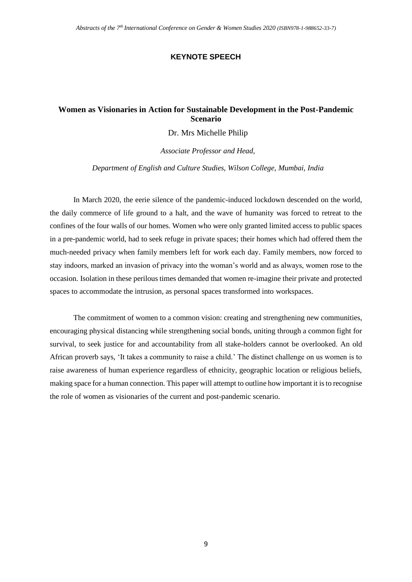### **KEYNOTE SPEECH**

## **Women as Visionaries in Action for Sustainable Development in the Post-Pandemic Scenario**

#### Dr. Mrs Michelle Philip

*Associate Professor and Head,* 

*Department of English and Culture Studies, Wilson College, Mumbai, India*

In March 2020, the eerie silence of the pandemic-induced lockdown descended on the world, the daily commerce of life ground to a halt, and the wave of humanity was forced to retreat to the confines of the four walls of our homes. Women who were only granted limited access to public spaces in a pre-pandemic world, had to seek refuge in private spaces; their homes which had offered them the much-needed privacy when family members left for work each day. Family members, now forced to stay indoors, marked an invasion of privacy into the woman's world and as always, women rose to the occasion. Isolation in these perilous times demanded that women re-imagine their private and protected spaces to accommodate the intrusion, as personal spaces transformed into workspaces.

The commitment of women to a common vision: creating and strengthening new communities, encouraging physical distancing while strengthening social bonds, uniting through a common fight for survival, to seek justice for and accountability from all stake-holders cannot be overlooked. An old African proverb says, 'It takes a community to raise a child.' The distinct challenge on us women is to raise awareness of human experience regardless of ethnicity, geographic location or religious beliefs, making space for a human connection. This paper will attempt to outline how important it is to recognise the role of women as visionaries of the current and post-pandemic scenario.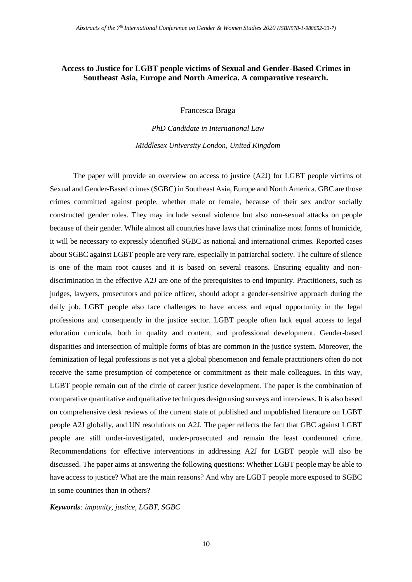## **Access to Justice for LGBT people victims of Sexual and Gender-Based Crimes in Southeast Asia, Europe and North America. A comparative research.**

Francesca Braga

*PhD Candidate in International Law*

*Middlesex University London, United Kingdom*

The paper will provide an overview on access to justice (A2J) for LGBT people victims of Sexual and Gender-Based crimes (SGBC) in Southeast Asia, Europe and North America. GBC are those crimes committed against people, whether male or female, because of their sex and/or socially constructed gender roles. They may include sexual violence but also non-sexual attacks on people because of their gender. While almost all countries have laws that criminalize most forms of homicide, it will be necessary to expressly identified SGBC as national and international crimes. Reported cases about SGBC against LGBT people are very rare, especially in patriarchal society. The culture of silence is one of the main root causes and it is based on several reasons. Ensuring equality and nondiscrimination in the effective A2J are one of the prerequisites to end impunity. Practitioners, such as judges, lawyers, prosecutors and police officer, should adopt a gender-sensitive approach during the daily job. LGBT people also face challenges to have access and equal opportunity in the legal professions and consequently in the justice sector. LGBT people often lack equal access to legal education curricula, both in quality and content, and professional development. Gender-based disparities and intersection of multiple forms of bias are common in the justice system. Moreover, the feminization of legal professions is not yet a global phenomenon and female practitioners often do not receive the same presumption of competence or commitment as their male colleagues. In this way, LGBT people remain out of the circle of career justice development. The paper is the combination of comparative quantitative and qualitative techniques design using surveys and interviews. It is also based on comprehensive desk reviews of the current state of published and unpublished literature on LGBT people A2J globally, and UN resolutions on A2J. The paper reflects the fact that GBC against LGBT people are still under-investigated, under-prosecuted and remain the least condemned crime. Recommendations for effective interventions in addressing A2J for LGBT people will also be discussed. The paper aims at answering the following questions: Whether LGBT people may be able to have access to justice? What are the main reasons? And why are LGBT people more exposed to SGBC in some countries than in others?

*Keywords: impunity, justice, LGBT, SGBC*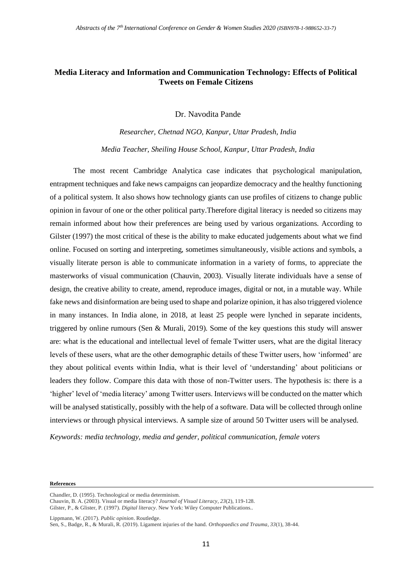## **Media Literacy and Information and Communication Technology: Effects of Political Tweets on Female Citizens**

#### Dr. Navodita Pande

# *Researcher, Chetnad NGO, Kanpur, Uttar Pradesh, India Media Teacher, Sheiling House School, Kanpur, Uttar Pradesh, India*

The most recent Cambridge Analytica case indicates that psychological manipulation, entrapment techniques and fake news campaigns can jeopardize democracy and the healthy functioning of a political system. It also shows how technology giants can use profiles of citizens to change public opinion in favour of one or the other political party.Therefore digital literacy is needed so citizens may remain informed about how their preferences are being used by various organizations. According to Gilster (1997) the most critical of these is the ability to make educated judgements about what we find online. Focused on sorting and interpreting, sometimes simultaneously, visible actions and symbols, a visually literate person is able to communicate information in a variety of forms, to appreciate the masterworks of visual communication (Chauvin, 2003). Visually literate individuals have a sense of design, the creative ability to create, amend, reproduce images, digital or not, in a mutable way. While fake news and disinformation are being used to shape and polarize opinion, it has also triggered violence in many instances. In India alone, in 2018, at least 25 people were lynched in separate incidents, triggered by online rumours (Sen & Murali, 2019). Some of the key questions this study will answer are: what is the educational and intellectual level of female Twitter users, what are the digital literacy levels of these users, what are the other demographic details of these Twitter users, how 'informed' are they about political events within India, what is their level of 'understanding' about politicians or leaders they follow. Compare this data with those of non-Twitter users. The hypothesis is: there is a 'higher' level of 'media literacy' among Twitter users. Interviews will be conducted on the matter which will be analysed statistically, possibly with the help of a software. Data will be collected through online interviews or through physical interviews. A sample size of around 50 Twitter users will be analysed.

*Keywords: media technology, media and gender, political communication, female voters*

#### **References**

Chauvin, B. A. (2003). Visual or media literacy? *Journal of Visual Literacy*, *23*(2), 119-128.

Gilster, P., & Glister, P. (1997). *Digital literacy*. New York: Wiley Computer Publications..

Lippmann, W. (2017). *Public opinion*. Routledge.

Sen, S., Badge, R., & Murali, R. (2019). Ligament injuries of the hand. *Orthopaedics and Trauma*, *33*(1), 38-44.

Chandler, D. (1995). Technological or media determinism.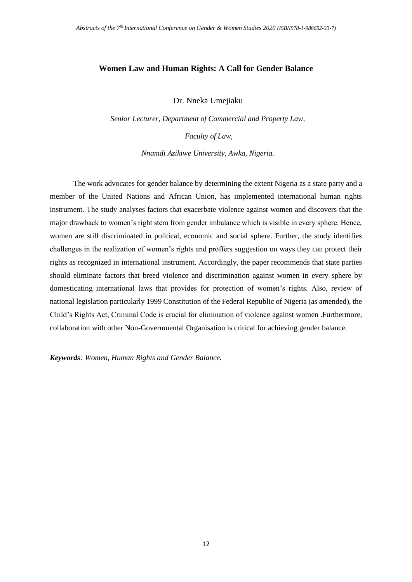#### **Women Law and Human Rights: A Call for Gender Balance**

Dr. Nneka Umejiaku

*Senior Lecturer, Department of Commercial and Property Law,*

*Faculty of Law,* 

*Nnamdi Azikiwe University, Awka, Nigeria.*

The work advocates for gender balance by determining the extent Nigeria as a state party and a member of the United Nations and African Union, has implemented international human rights instrument. The study analyses factors that exacerbate violence against women and discovers that the major drawback to women's right stem from gender imbalance which is visible in every sphere. Hence, women are still discriminated in political, economic and social sphere. Further, the study identifies challenges in the realization of women's rights and proffers suggestion on ways they can protect their rights as recognized in international instrument. Accordingly, the paper recommends that state parties should eliminate factors that breed violence and discrimination against women in every sphere by domesticating international laws that provides for protection of women's rights. Also, review of national legislation particularly 1999 Constitution of the Federal Republic of Nigeria (as amended), the Child's Rights Act, Criminal Code is crucial for elimination of violence against women .Furthermore, collaboration with other Non-Governmental Organisation is critical for achieving gender balance.

*Keywords: Women, Human Rights and Gender Balance.*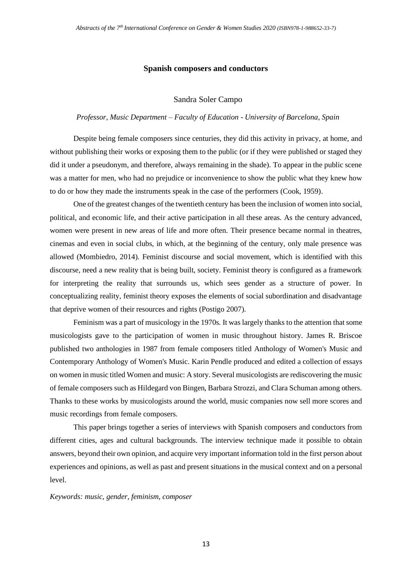#### **Spanish composers and conductors**

#### Sandra Soler Campo

#### *Professor, Music Department – Faculty of Education - University of Barcelona, Spain*

Despite being female composers since centuries, they did this activity in privacy, at home, and without publishing their works or exposing them to the public (or if they were published or staged they did it under a pseudonym, and therefore, always remaining in the shade). To appear in the public scene was a matter for men, who had no prejudice or inconvenience to show the public what they knew how to do or how they made the instruments speak in the case of the performers (Cook, 1959).

One of the greatest changes of the twentieth century has been the inclusion of women into social, political, and economic life, and their active participation in all these areas. As the century advanced, women were present in new areas of life and more often. Their presence became normal in theatres, cinemas and even in social clubs, in which, at the beginning of the century, only male presence was allowed (Mombiedro, 2014). Feminist discourse and social movement, which is identified with this discourse, need a new reality that is being built, society. Feminist theory is configured as a framework for interpreting the reality that surrounds us, which sees gender as a structure of power. In conceptualizing reality, feminist theory exposes the elements of social subordination and disadvantage that deprive women of their resources and rights (Postigo 2007).

Feminism was a part of musicology in the 1970s. It was largely thanks to the attention that some musicologists gave to the participation of women in music throughout history. James R. Briscoe published two anthologies in 1987 from female composers titled Anthology of Women's Music and Contemporary Anthology of Women's Music. Karin Pendle produced and edited a collection of essays on women in music titled Women and music: A story. Several musicologists are rediscovering the music of female composers such as Hildegard von Bingen, Barbara Strozzi, and Clara Schuman among others. Thanks to these works by musicologists around the world, music companies now sell more scores and music recordings from female composers.

This paper brings together a series of interviews with Spanish composers and conductors from different cities, ages and cultural backgrounds. The interview technique made it possible to obtain answers, beyond their own opinion, and acquire very important information told in the first person about experiences and opinions, as well as past and present situations in the musical context and on a personal level.

#### *Keywords: music, gender, feminism, composer*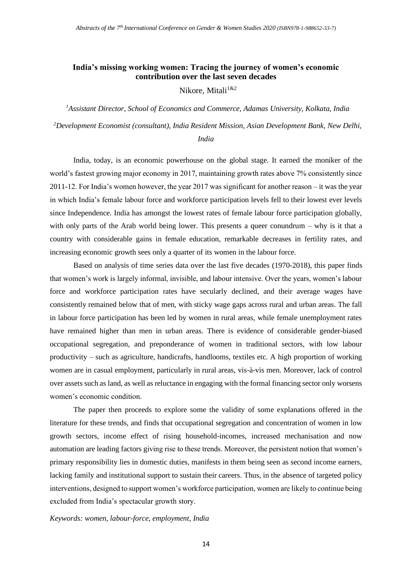## **India's missing working women: Tracing the journey of women's economic contribution over the last seven decades**

### Nikore, Mitali<sup>1&2</sup>

*<sup>1</sup>Assistant Director, School of Economics and Commerce, Adamas University, Kolkata, India* 

*<sup>2</sup>Development Economist (consultant), India Resident Mission, Asian Development Bank, New Delhi,* 

#### *India*

India, today, is an economic powerhouse on the global stage. It earned the moniker of the world's fastest growing major economy in 2017, maintaining growth rates above 7% consistently since 2011-12. For India's women however, the year 2017 was significant for another reason – it was the year in which India's female labour force and workforce participation levels fell to their lowest ever levels since Independence. India has amongst the lowest rates of female labour force participation globally, with only parts of the Arab world being lower. This presents a queer conundrum – why is it that a country with considerable gains in female education, remarkable decreases in fertility rates, and increasing economic growth sees only a quarter of its women in the labour force.

Based on analysis of time series data over the last five decades (1970-2018), this paper finds that women's work is largely informal, invisible, and labour intensive. Over the years, women's labour force and workforce participation rates have secularly declined, and their average wages have consistently remained below that of men, with sticky wage gaps across rural and urban areas. The fall in labour force participation has been led by women in rural areas, while female unemployment rates have remained higher than men in urban areas. There is evidence of considerable gender-biased occupational segregation, and preponderance of women in traditional sectors, with low labour productivity – such as agriculture, handicrafts, handlooms, textiles etc. A high proportion of working women are in casual employment, particularly in rural areas, vis-à-vis men. Moreover, lack of control over assets such as land, as well as reluctance in engaging with the formal financing sector only worsens women's economic condition.

The paper then proceeds to explore some the validity of some explanations offered in the literature for these trends, and finds that occupational segregation and concentration of women in low growth sectors, income effect of rising household-incomes, increased mechanisation and now automation are leading factors giving rise to these trends. Moreover, the persistent notion that women's primary responsibility lies in domestic duties, manifests in them being seen as second income earners, lacking family and institutional support to sustain their careers. Thus, in the absence of targeted policy interventions, designed to support women's workforce participation, women are likely to continue being excluded from India's spectacular growth story.

### *Keywords: women, labour-force, employment, India*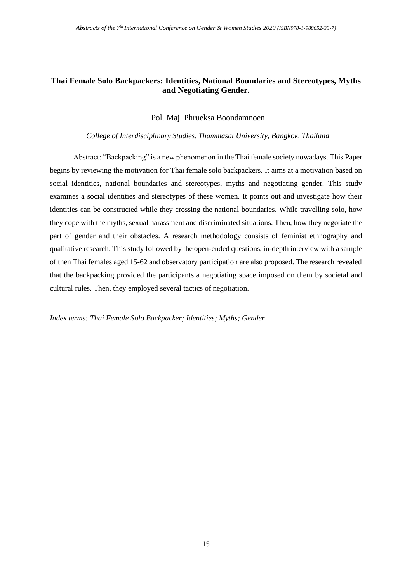## **Thai Female Solo Backpackers: Identities, National Boundaries and Stereotypes, Myths and Negotiating Gender.**

## Pol. Maj. Phrueksa Boondamnoen

#### *College of Interdisciplinary Studies. Thammasat University, Bangkok, Thailand*

Abstract: "Backpacking" is a new phenomenon in the Thai female society nowadays. This Paper begins by reviewing the motivation for Thai female solo backpackers. It aims at a motivation based on social identities, national boundaries and stereotypes, myths and negotiating gender. This study examines a social identities and stereotypes of these women. It points out and investigate how their identities can be constructed while they crossing the national boundaries. While travelling solo, how they cope with the myths, sexual harassment and discriminated situations. Then, how they negotiate the part of gender and their obstacles. A research methodology consists of feminist ethnography and qualitative research. This study followed by the open-ended questions, in-depth interview with a sample of then Thai females aged 15-62 and observatory participation are also proposed. The research revealed that the backpacking provided the participants a negotiating space imposed on them by societal and cultural rules. Then, they employed several tactics of negotiation.

*Index terms: Thai Female Solo Backpacker; Identities; Myths; Gender*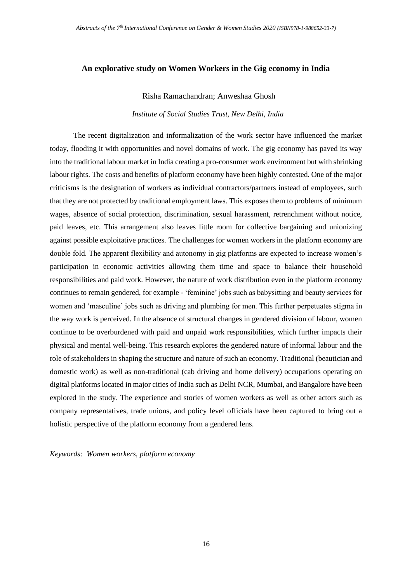#### **An explorative study on Women Workers in the Gig economy in India**

Risha Ramachandran; Anweshaa Ghosh

#### *Institute of Social Studies Trust, New Delhi, India*

The recent digitalization and informalization of the work sector have influenced the market today, flooding it with opportunities and novel domains of work. The gig economy has paved its way into the traditional labour market in India creating a pro-consumer work environment but with shrinking labour rights. The costs and benefits of platform economy have been highly contested. One of the major criticisms is the designation of workers as individual contractors/partners instead of employees, such that they are not protected by traditional employment laws. This exposes them to problems of minimum wages, absence of social protection, discrimination, sexual harassment, retrenchment without notice, paid leaves, etc. This arrangement also leaves little room for collective bargaining and unionizing against possible exploitative practices. The challenges for women workers in the platform economy are double fold. The apparent flexibility and autonomy in gig platforms are expected to increase women's participation in economic activities allowing them time and space to balance their household responsibilities and paid work. However, the nature of work distribution even in the platform economy continues to remain gendered, for example - 'feminine' jobs such as babysitting and beauty services for women and 'masculine' jobs such as driving and plumbing for men. This further perpetuates stigma in the way work is perceived. In the absence of structural changes in gendered division of labour, women continue to be overburdened with paid and unpaid work responsibilities, which further impacts their physical and mental well-being. This research explores the gendered nature of informal labour and the role of stakeholders in shaping the structure and nature of such an economy. Traditional (beautician and domestic work) as well as non-traditional (cab driving and home delivery) occupations operating on digital platforms located in major cities of India such as Delhi NCR, Mumbai, and Bangalore have been explored in the study. The experience and stories of women workers as well as other actors such as company representatives, trade unions, and policy level officials have been captured to bring out a holistic perspective of the platform economy from a gendered lens.

*Keywords: Women workers, platform economy*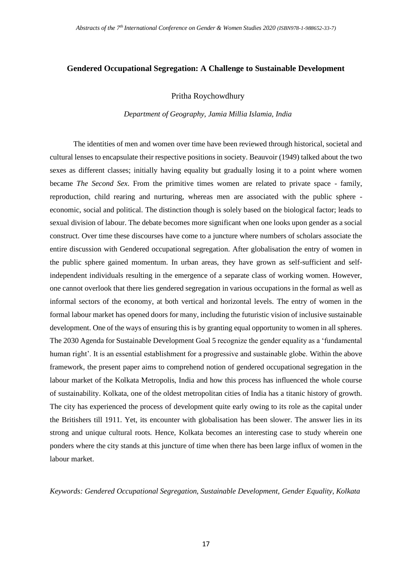#### **Gendered Occupational Segregation: A Challenge to Sustainable Development**

### Pritha Roychowdhury

#### *Department of Geography, Jamia Millia Islamia, India*

The identities of men and women over time have been reviewed through historical, societal and cultural lenses to encapsulate their respective positions in society. Beauvoir (1949) talked about the two sexes as different classes; initially having equality but gradually losing it to a point where women became *The Second Sex*. From the primitive times women are related to private space - family, reproduction, child rearing and nurturing, whereas men are associated with the public sphere economic, social and political. The distinction though is solely based on the biological factor; leads to sexual division of labour. The debate becomes more significant when one looks upon gender as a social construct. Over time these discourses have come to a juncture where numbers of scholars associate the entire discussion with Gendered occupational segregation. After globalisation the entry of women in the public sphere gained momentum. In urban areas, they have grown as self-sufficient and selfindependent individuals resulting in the emergence of a separate class of working women. However, one cannot overlook that there lies gendered segregation in various occupations in the formal as well as informal sectors of the economy, at both vertical and horizontal levels. The entry of women in the formal labour market has opened doors for many, including the futuristic vision of inclusive sustainable development. One of the ways of ensuring this is by granting equal opportunity to women in all spheres. The 2030 Agenda for Sustainable Development Goal 5 recognize the gender equality as a 'fundamental human right'. It is an essential establishment for a progressive and sustainable globe. Within the above framework, the present paper aims to comprehend notion of gendered occupational segregation in the labour market of the Kolkata Metropolis, India and how this process has influenced the whole course of sustainability. Kolkata, one of the oldest metropolitan cities of India has a titanic history of growth. The city has experienced the process of development quite early owing to its role as the capital under the Britishers till 1911. Yet, its encounter with globalisation has been slower. The answer lies in its strong and unique cultural roots. Hence, Kolkata becomes an interesting case to study wherein one ponders where the city stands at this juncture of time when there has been large influx of women in the labour market.

*Keywords: Gendered Occupational Segregation, Sustainable Development, Gender Equality, Kolkata*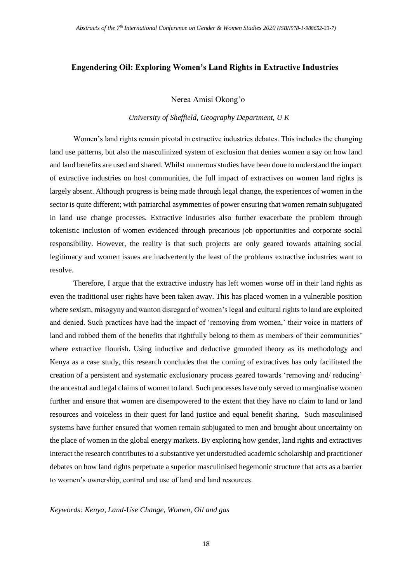#### **Engendering Oil: Exploring Women's Land Rights in Extractive Industries**

#### Nerea Amisi Okong'o

#### *University of Sheffield, Geography Department, U K*

Women's land rights remain pivotal in extractive industries debates. This includes the changing land use patterns, but also the masculinized system of exclusion that denies women a say on how land and land benefits are used and shared. Whilst numerous studies have been done to understand the impact of extractive industries on host communities, the full impact of extractives on women land rights is largely absent. Although progress is being made through legal change, the experiences of women in the sector is quite different; with patriarchal asymmetries of power ensuring that women remain subjugated in land use change processes. Extractive industries also further exacerbate the problem through tokenistic inclusion of women evidenced through precarious job opportunities and corporate social responsibility. However, the reality is that such projects are only geared towards attaining social legitimacy and women issues are inadvertently the least of the problems extractive industries want to resolve.

Therefore, I argue that the extractive industry has left women worse off in their land rights as even the traditional user rights have been taken away. This has placed women in a vulnerable position where sexism, misogyny and wanton disregard of women's legal and cultural rights to land are exploited and denied. Such practices have had the impact of 'removing from women,' their voice in matters of land and robbed them of the benefits that rightfully belong to them as members of their communities' where extractive flourish. Using inductive and deductive grounded theory as its methodology and Kenya as a case study, this research concludes that the coming of extractives has only facilitated the creation of a persistent and systematic exclusionary process geared towards 'removing and/ reducing' the ancestral and legal claims of women to land. Such processes have only served to marginalise women further and ensure that women are disempowered to the extent that they have no claim to land or land resources and voiceless in their quest for land justice and equal benefit sharing. Such masculinised systems have further ensured that women remain subjugated to men and brought about uncertainty on the place of women in the global energy markets. By exploring how gender, land rights and extractives interact the research contributes to a substantive yet understudied academic scholarship and practitioner debates on how land rights perpetuate a superior masculinised hegemonic structure that acts as a barrier to women's ownership, control and use of land and land resources.

#### *Keywords: Kenya, Land-Use Change, Women, Oil and gas*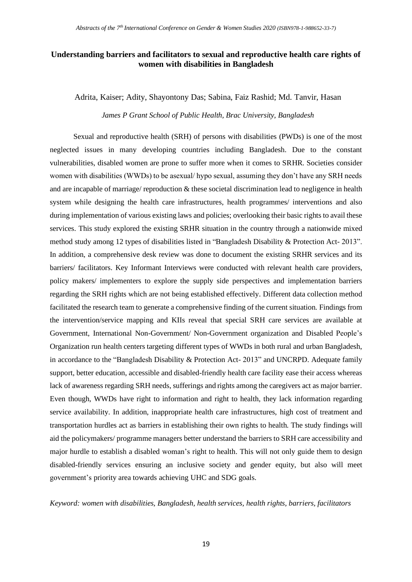### **Understanding barriers and facilitators to sexual and reproductive health care rights of women with disabilities in Bangladesh**

Adrita, Kaiser; Adity, Shayontony Das; Sabina, Faiz Rashid; Md. Tanvir, Hasan

*James P Grant School of Public Health, Brac University, Bangladesh*

Sexual and reproductive health (SRH) of persons with disabilities (PWDs) is one of the most neglected issues in many developing countries including Bangladesh. Due to the constant vulnerabilities, disabled women are prone to suffer more when it comes to SRHR. Societies consider women with disabilities (WWDs) to be asexual/ hypo sexual, assuming they don't have any SRH needs and are incapable of marriage/ reproduction & these societal discrimination lead to negligence in health system while designing the health care infrastructures, health programmes/ interventions and also during implementation of various existing laws and policies; overlooking their basic rights to avail these services. This study explored the existing SRHR situation in the country through a nationwide mixed method study among 12 types of disabilities listed in "Bangladesh Disability & Protection Act- 2013". In addition, a comprehensive desk review was done to document the existing SRHR services and its barriers/ facilitators. Key Informant Interviews were conducted with relevant health care providers, policy makers/ implementers to explore the supply side perspectives and implementation barriers regarding the SRH rights which are not being established effectively. Different data collection method facilitated the research team to generate a comprehensive finding of the current situation. Findings from the intervention/service mapping and KIIs reveal that special SRH care services are available at Government, International Non-Government/ Non-Government organization and Disabled People's Organization run health centers targeting different types of WWDs in both rural and urban Bangladesh, in accordance to the "Bangladesh Disability & Protection Act- 2013" and UNCRPD. Adequate family support, better education, accessible and disabled-friendly health care facility ease their access whereas lack of awareness regarding SRH needs, sufferings and rights among the caregivers act as major barrier. Even though, WWDs have right to information and right to health, they lack information regarding service availability. In addition, inappropriate health care infrastructures, high cost of treatment and transportation hurdles act as barriers in establishing their own rights to health. The study findings will aid the policymakers/ programme managers better understand the barriers to SRH care accessibility and major hurdle to establish a disabled woman's right to health. This will not only guide them to design disabled-friendly services ensuring an inclusive society and gender equity, but also will meet government's priority area towards achieving UHC and SDG goals.

*Keyword: women with disabilities, Bangladesh, health services, health rights, barriers, facilitators*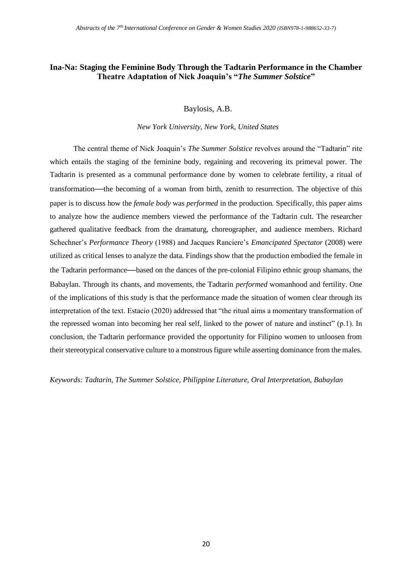## **Ina-Na: Staging the Feminine Body Through the Tadtarin Performance in the Chamber Theatre Adaptation of Nick Joaquin's "***The Summer Solstice***"**

#### Baylosis, A.B.

#### *New York University, New York, United States*

The central theme of Nick Joaquin's *The Summer Solstice* revolves around the "Tadtarin" rite which entails the staging of the feminine body, regaining and recovering its primeval power. The Tadtarin is presented as a communal performance done by women to celebrate fertility, a ritual of transformation**—**the becoming of a woman from birth, zenith to resurrection. The objective of this paper is to discuss how the *female body* was *performed* in the production*.* Specifically, this paper aims to analyze how the audience members viewed the performance of the Tadtarin cult. The researcher gathered qualitative feedback from the dramaturg, choreographer, and audience members. Richard Schechner's *Performance Theory* (1988) and Jacques Ranciere's *Emancipated Spectator* (2008) were utilized as critical lenses to analyze the data. Findings show that the production embodied the female in the Tadtarin performance**—**based on the dances of the pre-colonial Filipino ethnic group shamans, the Babaylan. Through its chants, and movements, the Tadtarin *performed* womanhood and fertility. One of the implications of this study is that the performance made the situation of women clear through its interpretation of the text. Estacio (2020) addressed that "the ritual aims a momentary transformation of the repressed woman into becoming her real self, linked to the power of nature and instinct" (p.1). In conclusion, the Tadtarin performance provided the opportunity for Filipino women to unloosen from their stereotypical conservative culture to a monstrous figure while asserting dominance from the males.

*Keywords: Tadtarin, The Summer Solstice, Philippine Literature, Oral Interpretation, Babaylan*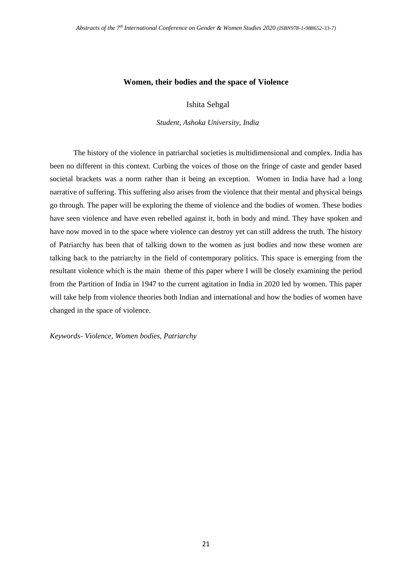#### **Women, their bodies and the space of Violence**

Ishita Sehgal

*Student, Ashoka University, India* 

The history of the violence in patriarchal societies is multidimensional and complex. India has been no different in this context. Curbing the voices of those on the fringe of caste and gender based societal brackets was a norm rather than it being an exception. Women in India have had a long narrative of suffering. This suffering also arises from the violence that their mental and physical beings go through. The paper will be exploring the theme of violence and the bodies of women. These bodies have seen violence and have even rebelled against it, both in body and mind. They have spoken and have now moved in to the space where violence can destroy yet can still address the truth. The history of Patriarchy has been that of talking down to the women as just bodies and now these women are talking back to the patriarchy in the field of contemporary politics. This space is emerging from the resultant violence which is the main theme of this paper where I will be closely examining the period from the Partition of India in 1947 to the current agitation in India in 2020 led by women. This paper will take help from violence theories both Indian and international and how the bodies of women have changed in the space of violence.

*Keywords- Violence, Women bodies, Patriarchy*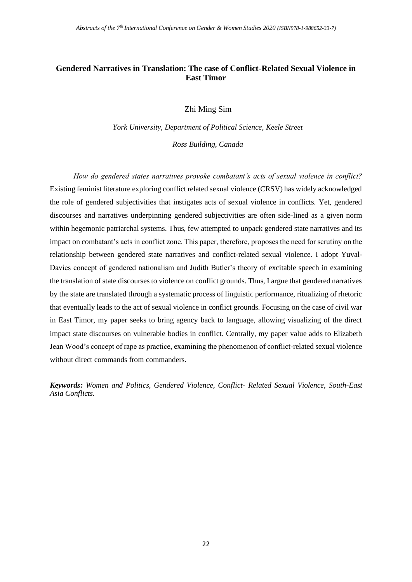## **Gendered Narratives in Translation: The case of Conflict-Related Sexual Violence in East Timor**

Zhi Ming Sim

*York University, Department of Political Science, Keele Street*

*Ross Building, Canada*

*How do gendered states narratives provoke combatant's acts of sexual violence in conflict?*  Existing feminist literature exploring conflict related sexual violence (CRSV) has widely acknowledged the role of gendered subjectivities that instigates acts of sexual violence in conflicts. Yet, gendered discourses and narratives underpinning gendered subjectivities are often side-lined as a given norm within hegemonic patriarchal systems. Thus, few attempted to unpack gendered state narratives and its impact on combatant's acts in conflict zone. This paper, therefore, proposes the need for scrutiny on the relationship between gendered state narratives and conflict-related sexual violence. I adopt Yuval-Davies concept of gendered nationalism and Judith Butler's theory of excitable speech in examining the translation of state discourses to violence on conflict grounds. Thus, I argue that gendered narratives by the state are translated through a systematic process of linguistic performance, ritualizing of rhetoric that eventually leads to the act of sexual violence in conflict grounds. Focusing on the case of civil war in East Timor, my paper seeks to bring agency back to language, allowing visualizing of the direct impact state discourses on vulnerable bodies in conflict. Centrally, my paper value adds to Elizabeth Jean Wood's concept of rape as practice, examining the phenomenon of conflict-related sexual violence without direct commands from commanders.

*Keywords: Women and Politics, Gendered Violence, Conflict- Related Sexual Violence, South-East Asia Conflicts.*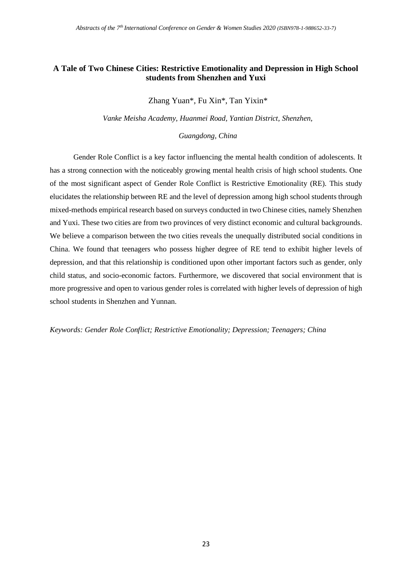## **A Tale of Two Chinese Cities: Restrictive Emotionality and Depression in High School students from Shenzhen and Yuxi**

Zhang Yuan\*, Fu Xin\*, Tan Yixin\*

*Vanke Meisha Academy, Huanmei Road, Yantian District, Shenzhen,* 

*Guangdong, China*

Gender Role Conflict is a key factor influencing the mental health condition of adolescents. It has a strong connection with the noticeably growing mental health crisis of high school students. One of the most significant aspect of Gender Role Conflict is Restrictive Emotionality (RE). This study elucidates the relationship between RE and the level of depression among high school students through mixed-methods empirical research based on surveys conducted in two Chinese cities, namely Shenzhen and Yuxi. These two cities are from two provinces of very distinct economic and cultural backgrounds. We believe a comparison between the two cities reveals the unequally distributed social conditions in China. We found that teenagers who possess higher degree of RE tend to exhibit higher levels of depression, and that this relationship is conditioned upon other important factors such as gender, only child status, and socio-economic factors. Furthermore, we discovered that social environment that is more progressive and open to various gender roles is correlated with higher levels of depression of high school students in Shenzhen and Yunnan.

*Keywords: Gender Role Conflict; Restrictive Emotionality; Depression; Teenagers; China*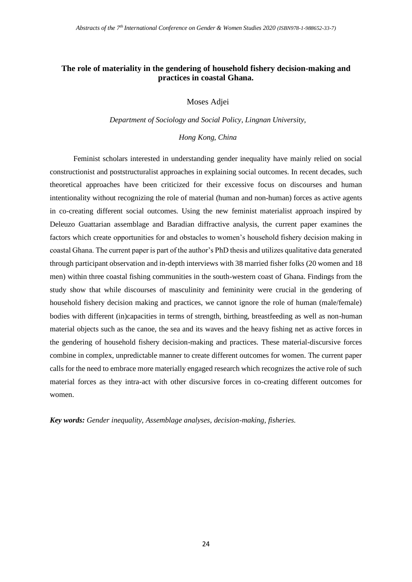## **The role of materiality in the gendering of household fishery decision-making and practices in coastal Ghana.**

### Moses Adjei

*Department of Sociology and Social Policy, Lingnan University,* 

#### *Hong Kong, China*

Feminist scholars interested in understanding gender inequality have mainly relied on social constructionist and poststructuralist approaches in explaining social outcomes. In recent decades, such theoretical approaches have been criticized for their excessive focus on discourses and human intentionality without recognizing the role of material (human and non-human) forces as active agents in co-creating different social outcomes. Using the new feminist materialist approach inspired by Deleuzo Guattarian assemblage and Baradian diffractive analysis, the current paper examines the factors which create opportunities for and obstacles to women's household fishery decision making in coastal Ghana. The current paper is part of the author's PhD thesis and utilizes qualitative data generated through participant observation and in-depth interviews with 38 married fisher folks (20 women and 18 men) within three coastal fishing communities in the south-western coast of Ghana. Findings from the study show that while discourses of masculinity and femininity were crucial in the gendering of household fishery decision making and practices, we cannot ignore the role of human (male/female) bodies with different (in)capacities in terms of strength, birthing, breastfeeding as well as non-human material objects such as the canoe, the sea and its waves and the heavy fishing net as active forces in the gendering of household fishery decision-making and practices. These material-discursive forces combine in complex, unpredictable manner to create different outcomes for women. The current paper calls for the need to embrace more materially engaged research which recognizes the active role of such material forces as they intra-act with other discursive forces in co-creating different outcomes for women.

*Key words: Gender inequality, Assemblage analyses, decision-making, fisheries.*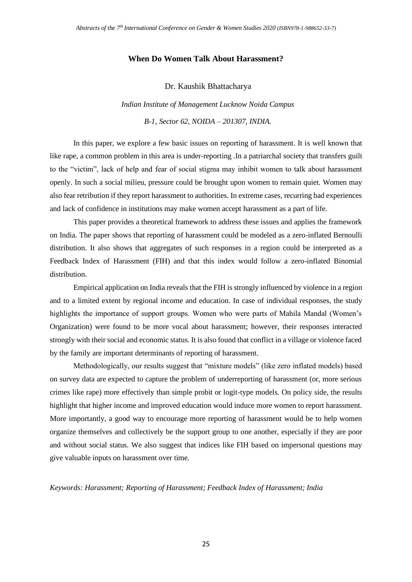#### **When Do Women Talk About Harassment?**

#### Dr. Kaushik Bhattacharya

*Indian Institute of Management Lucknow Noida Campus B-1, Sector 62, NOIDA – 201307, INDIA.*

In this paper, we explore a few basic issues on reporting of harassment. It is well known that like rape, a common problem in this area is under-reporting .In a patriarchal society that transfers guilt to the "victim", lack of help and fear of social stigma may inhibit women to talk about harassment openly. In such a social milieu, pressure could be brought upon women to remain quiet. Women may also fear retribution if they report harassment to authorities. In extreme cases, recurring bad experiences and lack of confidence in institutions may make women accept harassment as a part of life.

This paper provides a theoretical framework to address these issues and applies the framework on India. The paper shows that reporting of harassment could be modeled as a zero-inflated Bernoulli distribution. It also shows that aggregates of such responses in a region could be interpreted as a Feedback Index of Harassment (FIH) and that this index would follow a zero-inflated Binomial distribution.

Empirical application on India reveals that the FIH is strongly influenced by violence in a region and to a limited extent by regional income and education. In case of individual responses, the study highlights the importance of support groups. Women who were parts of Mahila Mandal (Women's Organization) were found to be more vocal about harassment; however, their responses interacted strongly with their social and economic status. It is also found that conflict in a village or violence faced by the family are important determinants of reporting of harassment.

Methodologically, our results suggest that "mixture models" (like zero inflated models) based on survey data are expected to capture the problem of underreporting of harassment (or, more serious crimes like rape) more effectively than simple probit or logit-type models. On policy side, the results highlight that higher income and improved education would induce more women to report harassment. More importantly, a good way to encourage more reporting of harassment would be to help women organize themselves and collectively be the support group to one another, especially if they are poor and without social status. We also suggest that indices like FIH based on impersonal questions may give valuable inputs on harassment over time.

#### *Keywords: Harassment; Reporting of Harassment; Feedback Index of Harassment; India*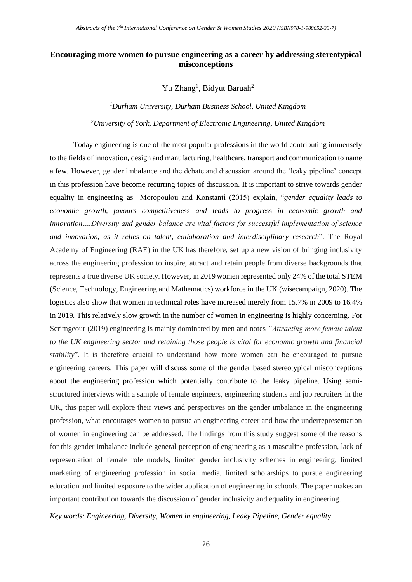## **Encouraging more women to pursue engineering as a career by addressing stereotypical misconceptions**

Yu Zhang<sup>1</sup>, Bidyut Baruah<sup>2</sup>

*<sup>1</sup>Durham University, Durham Business School, United Kingdom <sup>2</sup>University of York, Department of Electronic Engineering, United Kingdom*

Today engineering is one of the most popular professions in the world contributing immensely to the fields of innovation, design and manufacturing, healthcare, transport and communication to name a few. However, gender imbalance and the debate and discussion around the 'leaky pipeline' concept in this profession have become recurring topics of discussion. It is important to strive towards gender equality in engineering as Moropoulou and Konstanti (2015) explain, "*gender equality leads to economic growth, favours competitiveness and leads to progress in economic growth and innovation….Diversity and gender balance are vital factors for successful implementation of science and innovation, as it relies on talent, collaboration and interdisciplinary research*". The Royal Academy of Engineering (RAE) in the UK has therefore, set up a new vision of bringing inclusivity across the engineering profession to inspire, attract and retain people from diverse backgrounds that represents a true diverse UK society. However, in 2019 women represented only 24% of the total STEM (Science, Technology, Engineering and Mathematics) workforce in the UK (wisecampaign, 2020). The logistics also show that women in technical roles have increased merely from 15.7% in 2009 to 16.4% in 2019. This relatively slow growth in the number of women in engineering is highly concerning. For Scrimgeour (2019) engineering is mainly dominated by men and notes *"Attracting more female talent to the UK engineering sector and retaining those people is vital for economic growth and financial stability*". It is therefore crucial to understand how more women can be encouraged to pursue engineering careers. This paper will discuss some of the gender based stereotypical misconceptions about the engineering profession which potentially contribute to the leaky pipeline. Using semistructured interviews with a sample of female engineers, engineering students and job recruiters in the UK, this paper will explore their views and perspectives on the gender imbalance in the engineering profession, what encourages women to pursue an engineering career and how the underrepresentation of women in engineering can be addressed. The findings from this study suggest some of the reasons for this gender imbalance include general perception of engineering as a masculine profession, lack of representation of female role models, limited gender inclusivity schemes in engineering, limited marketing of engineering profession in social media, limited scholarships to pursue engineering education and limited exposure to the wider application of engineering in schools. The paper makes an important contribution towards the discussion of gender inclusivity and equality in engineering.

*Key words: Engineering, Diversity, Women in engineering, Leaky Pipeline, Gender equality*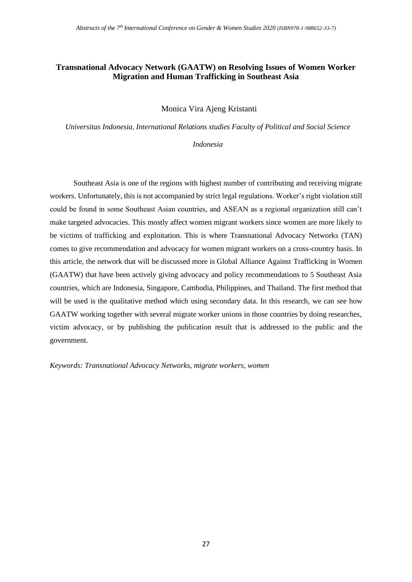## **Transnational Advocacy Network (GAATW) on Resolving Issues of Women Worker Migration and Human Trafficking in Southeast Asia**

Monica Vira Ajeng Kristanti

*Universitas Indonesia, International Relations studies Faculty of Political and Social Science*

#### *Indonesia*

Southeast Asia is one of the regions with highest number of contributing and receiving migrate workers. Unfortunately, this is not accompanied by strict legal regulations. Worker's right violation still could be found in some Southeast Asian countries, and ASEAN as a regional organization still can't make targeted advocacies. This mostly affect women migrant workers since women are more likely to be victims of trafficking and exploitation. This is where Transnational Advocacy Networks (TAN) comes to give recommendation and advocacy for women migrant workers on a cross-country basis. In this article, the network that will be discussed more is Global Alliance Against Trafficking in Women (GAATW) that have been actively giving advocacy and policy recommendations to 5 Southeast Asia countries, which are Indonesia, Singapore, Cambodia, Philippines, and Thailand. The first method that will be used is the qualitative method which using secondary data. In this research, we can see how GAATW working together with several migrate worker unions in those countries by doing researches, victim advocacy, or by publishing the publication result that is addressed to the public and the government.

*Keywords: Transnational Advocacy Networks, migrate workers, women*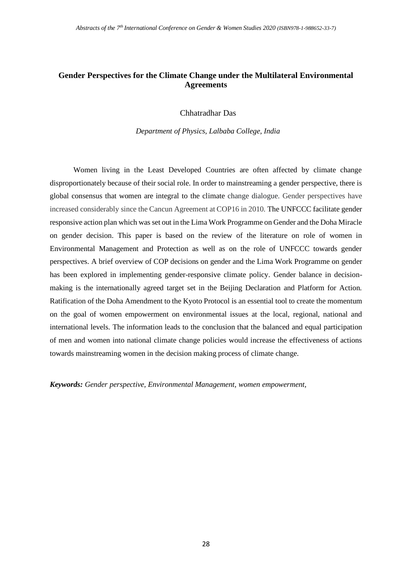## **Gender Perspectives for the Climate Change under the Multilateral Environmental Agreements**

Chhatradhar Das

*Department of Physics, Lalbaba College, India*

Women living in the Least Developed Countries are often affected by climate change disproportionately because of their social role. In order to mainstreaming a gender perspective, there is global consensus that women are integral to the climate change dialogue. Gender perspectives have increased considerably since the Cancun Agreement at COP16 in 2010. The UNFCCC facilitate gender responsive action plan which was set out in the Lima Work Programme on Gender and the Doha Miracle on gender decision. This paper is based on the review of the literature on role of women in Environmental Management and Protection as well as on the role of UNFCCC towards gender perspectives. A brief overview of COP decisions on gender and the Lima Work Programme on gender has been explored in implementing gender-responsive climate policy. Gender balance in decisionmaking is the internationally agreed target set in the Beijing Declaration and Platform for Action. Ratification of the Doha Amendment to the Kyoto Protocol is an essential tool to create the momentum on the goal of women empowerment on environmental issues at the local, regional, national and international levels. The information leads to the conclusion that the balanced and equal participation of men and women into national climate change policies would increase the effectiveness of actions towards mainstreaming women in the decision making process of climate change.

*Keywords: Gender perspective, Environmental Management, women empowerment,*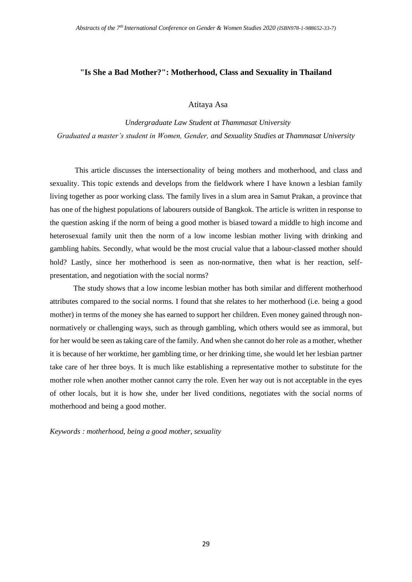#### **"Is She a Bad Mother?": Motherhood, Class and Sexuality in Thailand**

#### Atitaya Asa

*Undergraduate Law Student at Thammasat University Graduated a master's student in Women, Gender, and Sexuality Studies at Thammasat University*

This article discusses the intersectionality of being mothers and motherhood, and class and sexuality. This topic extends and develops from the fieldwork where I have known a lesbian family living together as poor working class. The family lives in a slum area in Samut Prakan, a province that has one of the highest populations of labourers outside of Bangkok. The article is written in response to the question asking if the norm of being a good mother is biased toward a middle to high income and heterosexual family unit then the norm of a low income lesbian mother living with drinking and gambling habits. Secondly, what would be the most crucial value that a labour-classed mother should hold? Lastly, since her motherhood is seen as non-normative, then what is her reaction, selfpresentation, and negotiation with the social norms?

The study shows that a low income lesbian mother has both similar and different motherhood attributes compared to the social norms. I found that she relates to her motherhood (i.e. being a good mother) in terms of the money she has earned to support her children. Even money gained through nonnormatively or challenging ways, such as through gambling, which others would see as immoral, but for her would be seen as taking care of the family. And when she cannot do her role as a mother, whether it is because of her worktime, her gambling time, or her drinking time, she would let her lesbian partner take care of her three boys. It is much like establishing a representative mother to substitute for the mother role when another mother cannot carry the role. Even her way out is not acceptable in the eyes of other locals, but it is how she, under her lived conditions, negotiates with the social norms of motherhood and being a good mother.

#### *Keywords : motherhood, being a good mother, sexuality*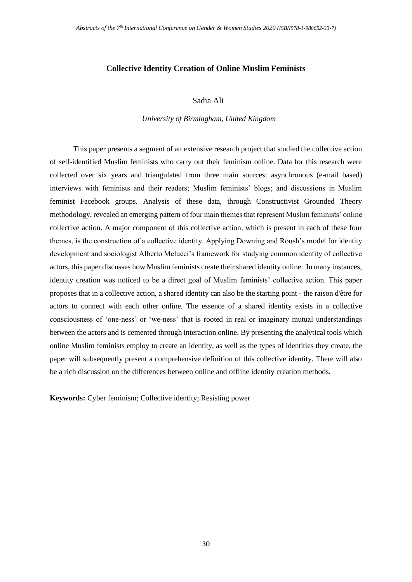#### **Collective Identity Creation of Online Muslim Feminists**

#### Sadia Ali

#### *University of Birmingham, United Kingdom*

This paper presents a segment of an extensive research project that studied the collective action of self-identified Muslim feminists who carry out their feminism online. Data for this research were collected over six years and triangulated from three main sources: asynchronous (e-mail based) interviews with feminists and their readers; Muslim feminists' blogs; and discussions in Muslim feminist Facebook groups. Analysis of these data, through Constructivist Grounded Theory methodology, revealed an emerging pattern of four main themes that represent Muslim feminists' online collective action. A major component of this collective action, which is present in each of these four themes, is the construction of a collective identity. Applying Downing and Roush's model for identity development and sociologist Alberto Melucci's framework for studying common identity of collective actors, this paper discusses how Muslim feminists create their shared identity online. In many instances, identity creation was noticed to be a direct goal of Muslim feminists' collective action. This paper proposes that in a collective action, a shared identity can also be the starting point - the raison d'être for actors to connect with each other online. The essence of a shared identity exists in a collective consciousness of 'one-ness' or 'we-ness' that is rooted in real or imaginary mutual understandings between the actors and is cemented through interaction online. By presenting the analytical tools which online Muslim feminists employ to create an identity, as well as the types of identities they create, the paper will subsequently present a comprehensive definition of this collective identity. There will also be a rich discussion on the differences between online and offline identity creation methods.

**Keywords:** Cyber feminism; Collective identity; Resisting power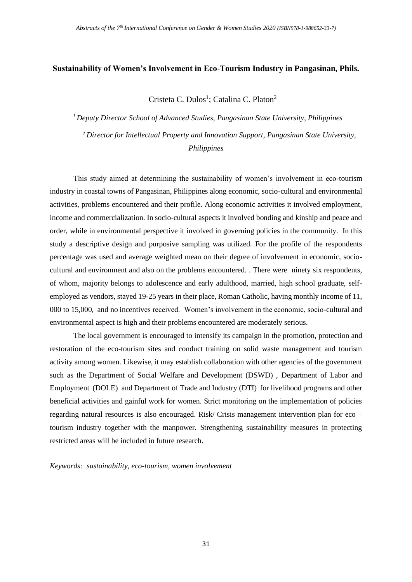#### **Sustainability of Women's Involvement in Eco-Tourism Industry in Pangasinan, Phils.**

Cristeta C. Dulos<sup>1</sup>; Catalina C. Platon<sup>2</sup>

*<sup>1</sup>Deputy Director School of Advanced Studies, Pangasinan State University, Philippines <sup>2</sup> Director for Intellectual Property and Innovation Support, Pangasinan State University, Philippines*

This study aimed at determining the sustainability of women's involvement in eco-tourism industry in coastal towns of Pangasinan, Philippines along economic, socio-cultural and environmental activities, problems encountered and their profile. Along economic activities it involved employment, income and commercialization. In socio-cultural aspects it involved bonding and kinship and peace and order, while in environmental perspective it involved in governing policies in the community. In this study a descriptive design and purposive sampling was utilized. For the profile of the respondents percentage was used and average weighted mean on their degree of involvement in economic, sociocultural and environment and also on the problems encountered. . There were ninety six respondents, of whom, majority belongs to adolescence and early adulthood, married, high school graduate, selfemployed as vendors, stayed 19-25 years in their place, Roman Catholic, having monthly income of 11, 000 to 15,000, and no incentives received. Women's involvement in the economic, socio-cultural and environmental aspect is high and their problems encountered are moderately serious.

The local government is encouraged to intensify its campaign in the promotion, protection and restoration of the eco-tourism sites and conduct training on solid waste management and tourism activity among women. Likewise, it may establish collaboration with other agencies of the government such as the Department of Social Welfare and Development (DSWD) , Department of Labor and Employment (DOLE) and Department of Trade and Industry (DTI) for livelihood programs and other beneficial activities and gainful work for women. Strict monitoring on the implementation of policies regarding natural resources is also encouraged. Risk/ Crisis management intervention plan for eco – tourism industry together with the manpower. Strengthening sustainability measures in protecting restricted areas will be included in future research.

*Keywords: sustainability, eco-tourism, women involvement*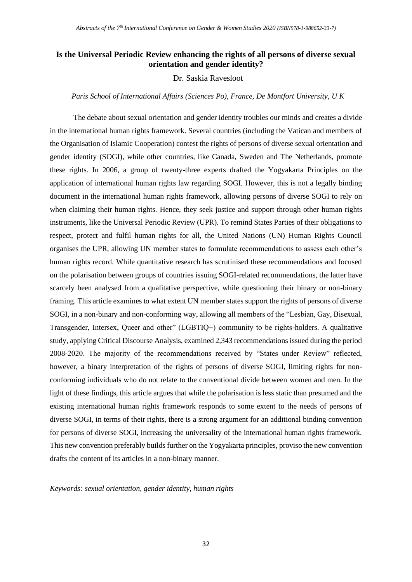## **Is the Universal Periodic Review enhancing the rights of all persons of diverse sexual orientation and gender identity?**

#### Dr. Saskia Ravesloot

#### *Paris School of International Affairs (Sciences Po), France, De Montfort University, U K*

The debate about sexual orientation and gender identity troubles our minds and creates a divide in the international human rights framework. Several countries (including the Vatican and members of the Organisation of Islamic Cooperation) contest the rights of persons of diverse sexual orientation and gender identity (SOGI), while other countries, like Canada, Sweden and The Netherlands, promote these rights. In 2006, a group of twenty-three experts drafted the Yogyakarta Principles on the application of international human rights law regarding SOGI. However, this is not a legally binding document in the international human rights framework, allowing persons of diverse SOGI to rely on when claiming their human rights. Hence, they seek justice and support through other human rights instruments, like the Universal Periodic Review (UPR). To remind States Parties of their obligations to respect, protect and fulfil human rights for all, the United Nations (UN) Human Rights Council organises the UPR, allowing UN member states to formulate recommendations to assess each other's human rights record. While quantitative research has scrutinised these recommendations and focused on the polarisation between groups of countries issuing SOGI-related recommendations, the latter have scarcely been analysed from a qualitative perspective, while questioning their binary or non-binary framing. This article examines to what extent UN member states support the rights of persons of diverse SOGI, in a non-binary and non-conforming way, allowing all members of the "Lesbian, Gay, Bisexual, Transgender, Intersex, Queer and other" (LGBTIQ+) community to be rights-holders. A qualitative study, applying Critical Discourse Analysis, examined 2,343 recommendations issued during the period 2008-2020. The majority of the recommendations received by "States under Review" reflected, however, a binary interpretation of the rights of persons of diverse SOGI, limiting rights for nonconforming individuals who do not relate to the conventional divide between women and men. In the light of these findings, this article argues that while the polarisation is less static than presumed and the existing international human rights framework responds to some extent to the needs of persons of diverse SOGI, in terms of their rights, there is a strong argument for an additional binding convention for persons of diverse SOGI, increasing the universality of the international human rights framework. This new convention preferably builds further on the Yogyakarta principles, proviso the new convention drafts the content of its articles in a non-binary manner.

*Keywords: sexual orientation, gender identity, human rights*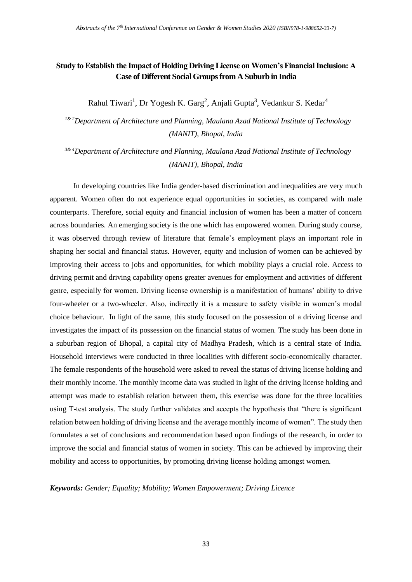## **Study to Establish the Impact of Holding Driving License on Women's Financial Inclusion: A Case of Different Social Groups from A Suburb in India**

Rahul Tiwari<sup>1</sup>, Dr Yogesh K. Garg<sup>2</sup>, Anjali Gupta<sup>3</sup>, Vedankur S. Kedar<sup>4</sup>

*1& 2Department of Architecture and Planning, Maulana Azad National Institute of Technology (MANIT), Bhopal, India*

*3& 4Department of Architecture and Planning, Maulana Azad National Institute of Technology (MANIT), Bhopal, India*

In developing countries like India gender-based discrimination and inequalities are very much apparent. Women often do not experience equal opportunities in societies, as compared with male counterparts. Therefore, social equity and financial inclusion of women has been a matter of concern across boundaries. An emerging society is the one which has empowered women. During study course, it was observed through review of literature that female's employment plays an important role in shaping her social and financial status. However, equity and inclusion of women can be achieved by improving their access to jobs and opportunities, for which mobility plays a crucial role. Access to driving permit and driving capability opens greater avenues for employment and activities of different genre, especially for women. Driving license ownership is a manifestation of humans' ability to drive four-wheeler or a two-wheeler. Also, indirectly it is a measure to safety visible in women's modal choice behaviour. In light of the same, this study focused on the possession of a driving license and investigates the impact of its possession on the financial status of women. The study has been done in a suburban region of Bhopal, a capital city of Madhya Pradesh, which is a central state of India. Household interviews were conducted in three localities with different socio-economically character. The female respondents of the household were asked to reveal the status of driving license holding and their monthly income. The monthly income data was studied in light of the driving license holding and attempt was made to establish relation between them, this exercise was done for the three localities using T-test analysis. The study further validates and accepts the hypothesis that "there is significant relation between holding of driving license and the average monthly income of women". The study then formulates a set of conclusions and recommendation based upon findings of the research, in order to improve the social and financial status of women in society. This can be achieved by improving their mobility and access to opportunities, by promoting driving license holding amongst women.

*Keywords: Gender; Equality; Mobility; Women Empowerment; Driving Licence*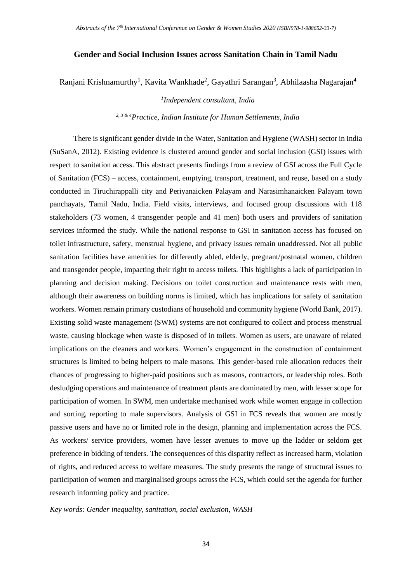#### **Gender and Social Inclusion Issues across Sanitation Chain in Tamil Nadu**

Ranjani Krishnamurthy<sup>1</sup>, Kavita Wankhade<sup>2</sup>, Gayathri Sarangan<sup>3</sup>, Abhilaasha Nagarajan<sup>4</sup>

#### *1 Independent consultant, India*

#### *2, 3 & 4Practice, Indian Institute for Human Settlements, India*

There is significant gender divide in the Water, Sanitation and Hygiene (WASH) sector in India (SuSanA, 2012). Existing evidence is clustered around gender and social inclusion (GSI) issues with respect to sanitation access. This abstract presents findings from a review of GSI across the Full Cycle of Sanitation (FCS) – access, containment, emptying, transport, treatment, and reuse, based on a study conducted in Tiruchirappalli city and Periyanaicken Palayam and Narasimhanaicken Palayam town panchayats, Tamil Nadu, India. Field visits, interviews, and focused group discussions with 118 stakeholders (73 women, 4 transgender people and 41 men) both users and providers of sanitation services informed the study. While the national response to GSI in sanitation access has focused on toilet infrastructure, safety, menstrual hygiene, and privacy issues remain unaddressed. Not all public sanitation facilities have amenities for differently abled, elderly, pregnant/postnatal women, children and transgender people, impacting their right to access toilets. This highlights a lack of participation in planning and decision making. Decisions on toilet construction and maintenance rests with men, although their awareness on building norms is limited, which has implications for safety of sanitation workers. Women remain primary custodians of household and community hygiene (World Bank, 2017). Existing solid waste management (SWM) systems are not configured to collect and process menstrual waste, causing blockage when waste is disposed of in toilets. Women as users, are unaware of related implications on the cleaners and workers. Women's engagement in the construction of containment structures is limited to being helpers to male masons. This gender-based role allocation reduces their chances of progressing to higher-paid positions such as masons, contractors, or leadership roles. Both desludging operations and maintenance of treatment plants are dominated by men, with lesser scope for participation of women. In SWM, men undertake mechanised work while women engage in collection and sorting, reporting to male supervisors. Analysis of GSI in FCS reveals that women are mostly passive users and have no or limited role in the design, planning and implementation across the FCS. As workers/ service providers, women have lesser avenues to move up the ladder or seldom get preference in bidding of tenders. The consequences of this disparity reflect as increased harm, violation of rights, and reduced access to welfare measures. The study presents the range of structural issues to participation of women and marginalised groups across the FCS, which could set the agenda for further research informing policy and practice.

*Key words: Gender inequality, sanitation, social exclusion, WASH*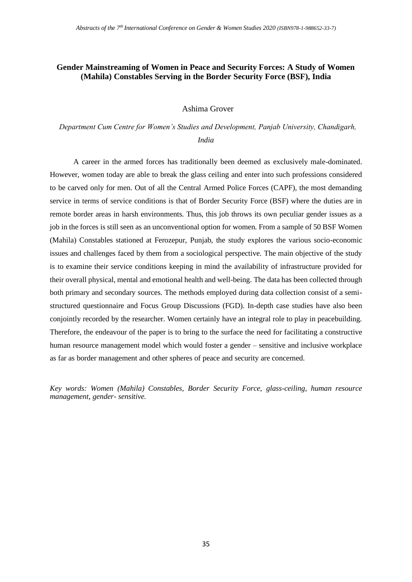## **Gender Mainstreaming of Women in Peace and Security Forces: A Study of Women (Mahila) Constables Serving in the Border Security Force (BSF), India**

#### Ashima Grover

## *Department Cum Centre for Women's Studies and Development, Panjab University, Chandigarh, India*

A career in the armed forces has traditionally been deemed as exclusively male-dominated. However, women today are able to break the glass ceiling and enter into such professions considered to be carved only for men. Out of all the Central Armed Police Forces (CAPF), the most demanding service in terms of service conditions is that of Border Security Force (BSF) where the duties are in remote border areas in harsh environments. Thus, this job throws its own peculiar gender issues as a job in the forces is still seen as an unconventional option for women. From a sample of 50 BSF Women (Mahila) Constables stationed at Ferozepur, Punjab, the study explores the various socio-economic issues and challenges faced by them from a sociological perspective. The main objective of the study is to examine their service conditions keeping in mind the availability of infrastructure provided for their overall physical, mental and emotional health and well-being. The data has been collected through both primary and secondary sources. The methods employed during data collection consist of a semistructured questionnaire and Focus Group Discussions (FGD). In-depth case studies have also been conjointly recorded by the researcher. Women certainly have an integral role to play in peacebuilding. Therefore, the endeavour of the paper is to bring to the surface the need for facilitating a constructive human resource management model which would foster a gender – sensitive and inclusive workplace as far as border management and other spheres of peace and security are concerned.

*Key words: Women (Mahila) Constables, Border Security Force, glass-ceiling, human resource management, gender- sensitive.*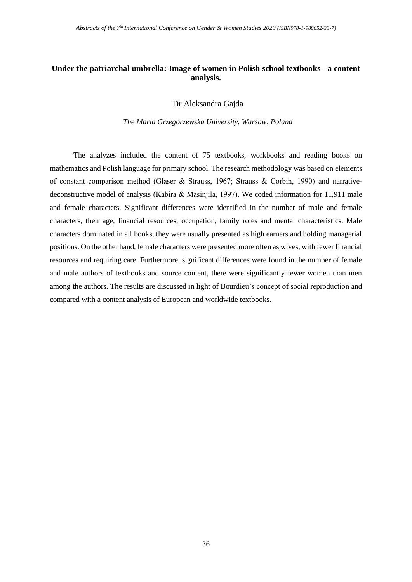## **Under the patriarchal umbrella: Image of women in Polish school textbooks - a content analysis.**

### Dr Aleksandra Gajda

#### *The Maria Grzegorzewska University, Warsaw, Poland*

The analyzes included the content of 75 textbooks, workbooks and reading books on mathematics and Polish language for primary school. The research methodology was based on elements of constant comparison method (Glaser & Strauss, 1967; Strauss & Corbin, 1990) and narrativedeconstructive model of analysis (Kabira & Masinjila, 1997). We coded information for 11,911 male and female characters. Significant differences were identified in the number of male and female characters, their age, financial resources, occupation, family roles and mental characteristics. Male characters dominated in all books, they were usually presented as high earners and holding managerial positions. On the other hand, female characters were presented more often as wives, with fewer financial resources and requiring care. Furthermore, significant differences were found in the number of female and male authors of textbooks and source content, there were significantly fewer women than men among the authors. The results are discussed in light of Bourdieu's concept of social reproduction and compared with a content analysis of European and worldwide textbooks.